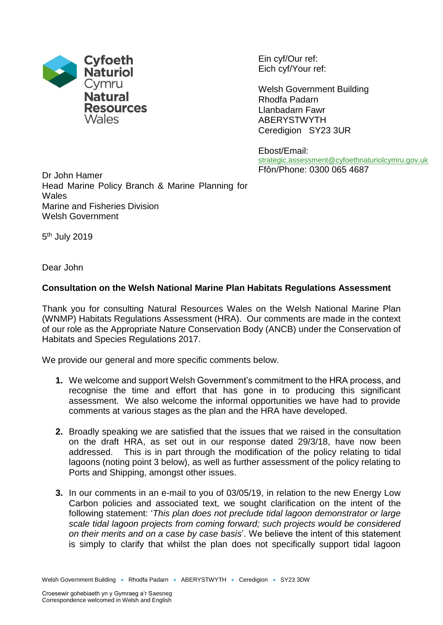

Ein cyf/Our ref: Eich cyf/Your ref:

Welsh Government Building Rhodfa Padarn Llanbadarn Fawr ABERYSTWYTH Ceredigion SY23 3UR

Ebost/Email: [strategic.assessment@cyfoethnaturiolcymru.gov.uk](mailto:strategic.assessment@cyfoethnaturiolcymru.gov.uk) Ffôn/Phone: 0300 065 4687

Dr John Hamer Head Marine Policy Branch & Marine Planning for Wales Marine and Fisheries Division Welsh Government

5<sup>th</sup> July 2019

Dear John

## **Consultation on the Welsh National Marine Plan Habitats Regulations Assessment**

Thank you for consulting Natural Resources Wales on the Welsh National Marine Plan (WNMP) Habitats Regulations Assessment (HRA). Our comments are made in the context of our role as the Appropriate Nature Conservation Body (ANCB) under the Conservation of Habitats and Species Regulations 2017.

We provide our general and more specific comments below.

- **1.** We welcome and support Welsh Government's commitment to the HRA process, and recognise the time and effort that has gone in to producing this significant assessment. We also welcome the informal opportunities we have had to provide comments at various stages as the plan and the HRA have developed.
- **2.** Broadly speaking we are satisfied that the issues that we raised in the consultation on the draft HRA, as set out in our response dated 29/3/18, have now been addressed. This is in part through the modification of the policy relating to tidal lagoons (noting point 3 below), as well as further assessment of the policy relating to Ports and Shipping, amongst other issues.
- **3.** In our comments in an e-mail to you of 03/05/19, in relation to the new Energy Low Carbon policies and associated text, we sought clarification on the intent of the following statement: '*This plan does not preclude tidal lagoon demonstrator or large scale tidal lagoon projects from coming forward; such projects would be considered on their merits and on a case by case basis*'. We believe the intent of this statement is simply to clarify that whilst the plan does not specifically support tidal lagoon

Welsh Government Building • Rhodfa Padarn • ABERYSTWYTH • Ceredigion • SY23 3DW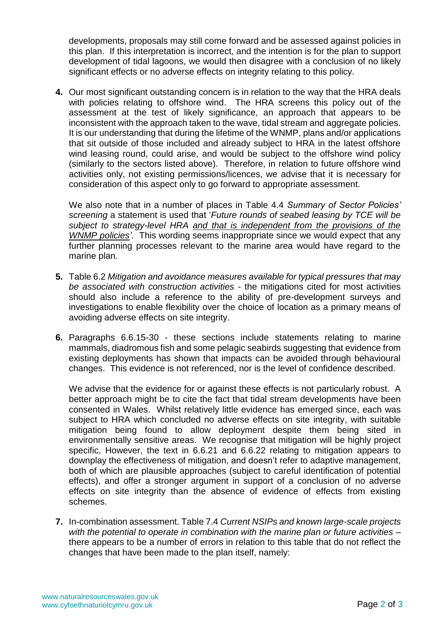developments, proposals may still come forward and be assessed against policies in this plan. If this interpretation is incorrect, and the intention is for the plan to support development of tidal lagoons, we would then disagree with a conclusion of no likely significant effects or no adverse effects on integrity relating to this policy.

**4.** Our most significant outstanding concern is in relation to the way that the HRA deals with policies relating to offshore wind. The HRA screens this policy out of the assessment at the test of likely significance, an approach that appears to be inconsistent with the approach taken to the wave, tidal stream and aggregate policies. It is our understanding that during the lifetime of the WNMP, plans and/or applications that sit outside of those included and already subject to HRA in the latest offshore wind leasing round, could arise, and would be subject to the offshore wind policy (similarly to the sectors listed above). Therefore, in relation to future offshore wind activities only, not existing permissions/licences, we advise that it is necessary for consideration of this aspect only to go forward to appropriate assessment.

We also note that in a number of places in Table 4.4 *Summary of Sector Policies' screening* a statement is used that '*Future rounds of seabed leasing by TCE will be subject to strategy-level HRA and that is independent from the provisions of the WNMP policies'*. This wording seems inappropriate since we would expect that any further planning processes relevant to the marine area would have regard to the marine plan.

- **5.** Table 6.2 *Mitigation and avoidance measures available for typical pressures that may be associated with construction activities* - the mitigations cited for most activities should also include a reference to the ability of pre-development surveys and investigations to enable flexibility over the choice of location as a primary means of avoiding adverse effects on site integrity.
- **6.** Paragraphs 6.6.15-30 these sections include statements relating to marine mammals, diadromous fish and some pelagic seabirds suggesting that evidence from existing deployments has shown that impacts can be avoided through behavioural changes. This evidence is not referenced, nor is the level of confidence described.

We advise that the evidence for or against these effects is not particularly robust. A better approach might be to cite the fact that tidal stream developments have been consented in Wales. Whilst relatively little evidence has emerged since, each was subject to HRA which concluded no adverse effects on site integrity, with suitable mitigation being found to allow deployment despite them being sited in environmentally sensitive areas. We recognise that mitigation will be highly project specific. However, the text in 6.6.21 and 6.6.22 relating to mitigation appears to downplay the effectiveness of mitigation, and doesn't refer to adaptive management, both of which are plausible approaches (subject to careful identification of potential effects), and offer a stronger argument in support of a conclusion of no adverse effects on site integrity than the absence of evidence of effects from existing schemes.

**7.** In-combination assessment. Table 7.4 *Current NSIPs and known large-scale projects with the potential to operate in combination with the marine plan or future activities* – there appears to be a number of errors in relation to this table that do not reflect the changes that have been made to the plan itself, namely: